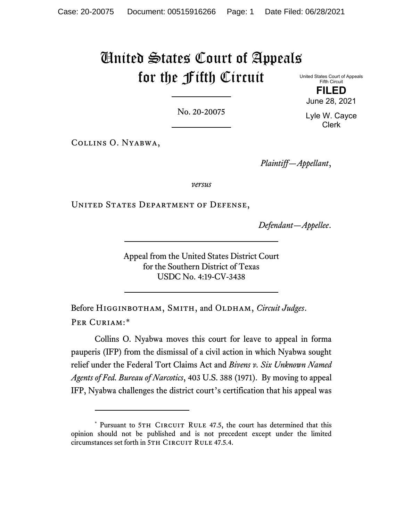## United States Court of Appeals for the Fifth Circuit

United States Court of Appeals Fifth Circuit **FILED**

No. 20-20075

Collins O. Nyabwa,

*Plaintiff—Appellant*,

*versus*

UNITED STATES DEPARTMENT OF DEFENSE,

*Defendant—Appellee*.

Appeal from the United States District Court for the Southern District of Texas USDC No. 4:19-CV-3438

Before Higginbotham, Smith, and Oldham, *Circuit Judges*. PER CURIAM:[\\*](#page-0-0)

Collins O. Nyabwa moves this court for leave to appeal in forma pauperis (IFP) from the dismissal of a civil action in which Nyabwa sought relief under the Federal Tort Claims Act and *Bivens v. Six Unknown Named Agents of Fed. Bureau of Narcotics*, 403 U.S. 388 (1971). By moving to appeal IFP, Nyabwa challenges the district court's certification that his appeal was

June 28, 2021 Lyle W. Cayce Clerk

<span id="page-0-0"></span><sup>\*</sup> Pursuant to 5TH CIRCUIT RULE 47.5, the court has determined that this opinion should not be published and is not precedent except under the limited circumstances set forth in 5TH CIRCUIT RULE 47.5.4.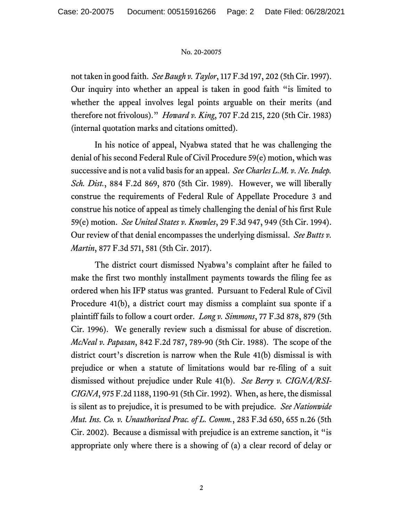## No. 20-20075

not taken in good faith. *See Baugh v. Taylor*, 117 F.3d 197, 202 (5th Cir. 1997). Our inquiry into whether an appeal is taken in good faith "is limited to whether the appeal involves legal points arguable on their merits (and therefore not frivolous)." *Howard v. King*, 707 F.2d 215, 220 (5th Cir. 1983) (internal quotation marks and citations omitted).

In his notice of appeal, Nyabwa stated that he was challenging the denial of his second Federal Rule of Civil Procedure 59(e) motion, which was successive and is not a valid basis for an appeal. *See Charles L.M. v. Ne. Indep. Sch. Dist.*, 884 F.2d 869, 870 (5th Cir. 1989). However, we will liberally construe the requirements of Federal Rule of Appellate Procedure 3 and construe his notice of appeal as timely challenging the denial of his first Rule 59(e) motion. *See United States v. Knowles*, 29 F.3d 947, 949 (5th Cir. 1994). Our review of that denial encompasses the underlying dismissal. *See Butts v. Martin*, 877 F.3d 571, 581 (5th Cir. 2017).

The district court dismissed Nyabwa's complaint after he failed to make the first two monthly installment payments towards the filing fee as ordered when his IFP status was granted. Pursuant to Federal Rule of Civil Procedure 41(b), a district court may dismiss a complaint sua sponte if a plaintiff fails to follow a court order. *Long v. Simmons*, 77 F.3d 878, 879 (5th Cir. 1996). We generally review such a dismissal for abuse of discretion. *McNeal v. Papasan*, 842 F.2d 787, 789-90 (5th Cir. 1988). The scope of the district court's discretion is narrow when the Rule 41(b) dismissal is with prejudice or when a statute of limitations would bar re-filing of a suit dismissed without prejudice under Rule 41(b). *See Berry v. CIGNA/RSI-CIGNA*, 975 F.2d 1188, 1190-91 (5th Cir. 1992). When, as here, the dismissal is silent as to prejudice, it is presumed to be with prejudice. *See Nationwide Mut. Ins. Co. v. Unauthorized Prac. of L. Comm.*, 283 F.3d 650, 655 n.26 (5th Cir. 2002). Because a dismissal with prejudice is an extreme sanction, it "is appropriate only where there is a showing of (a) a clear record of delay or